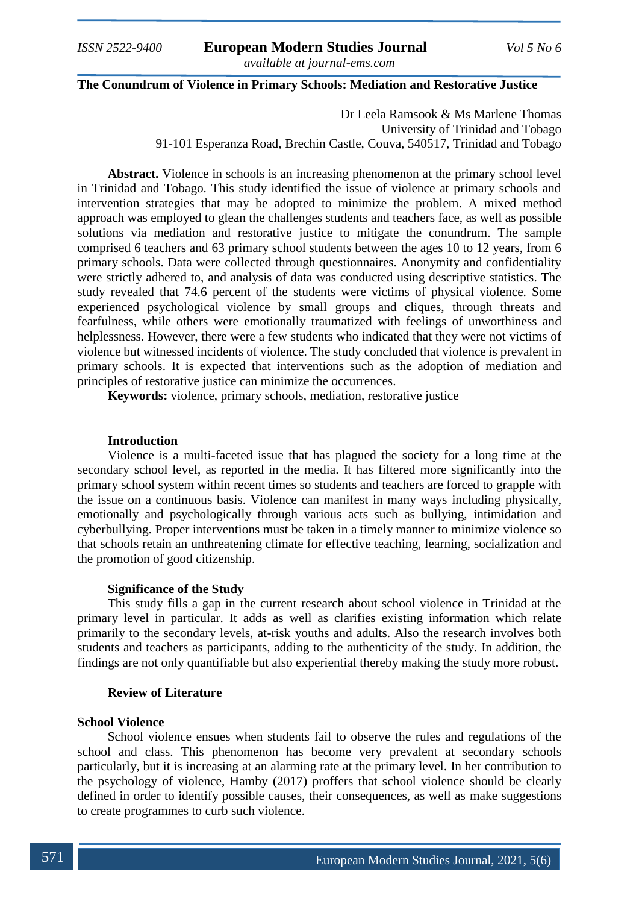#### **The Conundrum of Violence in Primary Schools: Mediation and Restorative Justice**

Dr Leela Ramsook & Ms Marlene Thomas University of Trinidad and Tobago 91-101 Esperanza Road, Brechin Castle, Couva, 540517, Trinidad and Tobago

**Abstract.** Violence in schools is an increasing phenomenon at the primary school level in Trinidad and Tobago. This study identified the issue of violence at primary schools and intervention strategies that may be adopted to minimize the problem. A mixed method approach was employed to glean the challenges students and teachers face, as well as possible solutions via mediation and restorative justice to mitigate the conundrum. The sample comprised 6 teachers and 63 primary school students between the ages 10 to 12 years, from 6 primary schools. Data were collected through questionnaires. Anonymity and confidentiality were strictly adhered to, and analysis of data was conducted using descriptive statistics. The study revealed that 74.6 percent of the students were victims of physical violence. Some experienced psychological violence by small groups and cliques, through threats and fearfulness, while others were emotionally traumatized with feelings of unworthiness and helplessness. However, there were a few students who indicated that they were not victims of violence but witnessed incidents of violence. The study concluded that violence is prevalent in primary schools. It is expected that interventions such as the adoption of mediation and principles of restorative justice can minimize the occurrences.

**Keywords:** violence, primary schools, mediation, restorative justice

# **Introduction**

Violence is a multi-faceted issue that has plagued the society for a long time at the secondary school level, as reported in the media. It has filtered more significantly into the primary school system within recent times so students and teachers are forced to grapple with the issue on a continuous basis. Violence can manifest in many ways including physically, emotionally and psychologically through various acts such as bullying, intimidation and cyberbullying. Proper interventions must be taken in a timely manner to minimize violence so that schools retain an unthreatening climate for effective teaching, learning, socialization and the promotion of good citizenship.

### **Significance of the Study**

This study fills a gap in the current research about school violence in Trinidad at the primary level in particular. It adds as well as clarifies existing information which relate primarily to the secondary levels, at-risk youths and adults. Also the research involves both students and teachers as participants, adding to the authenticity of the study. In addition, the findings are not only quantifiable but also experiential thereby making the study more robust.

#### **Review of Literature**

# **School Violence**

School violence ensues when students fail to observe the rules and regulations of the school and class. This phenomenon has become very prevalent at secondary schools particularly, but it is increasing at an alarming rate at the primary level. In her contribution to the psychology of violence, Hamby (2017) proffers that school violence should be clearly defined in order to identify possible causes, their consequences, as well as make suggestions to create programmes to curb such violence.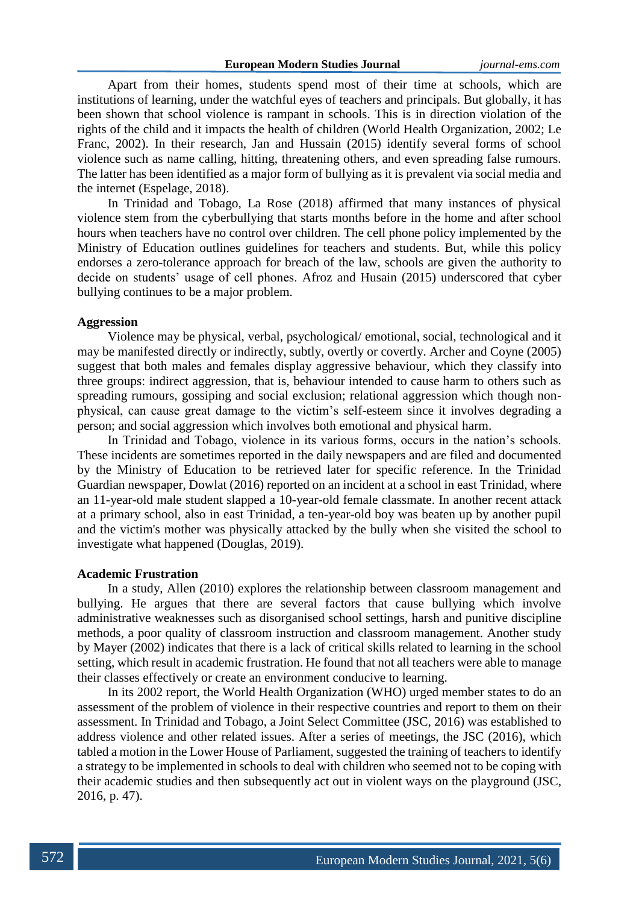Apart from their homes, students spend most of their time at schools, which are institutions of learning, under the watchful eyes of teachers and principals. But globally, it has been shown that school violence is rampant in schools. This is in direction violation of the rights of the child and it impacts the health of children (World Health Organization, 2002; Le Franc, 2002). In their research, Jan and Hussain (2015) identify several forms of school violence such as name calling, hitting, threatening others, and even spreading false rumours. The latter has been identified as a major form of bullying as it is prevalent via social media and the internet (Espelage, 2018).

In Trinidad and Tobago, La Rose (2018) affirmed that many instances of physical violence stem from the cyberbullying that starts months before in the home and after school hours when teachers have no control over children. The cell phone policy implemented by the Ministry of Education outlines guidelines for teachers and students. But, while this policy endorses a zero-tolerance approach for breach of the law, schools are given the authority to decide on students' usage of cell phones. Afroz and Husain (2015) underscored that cyber bullying continues to be a major problem.

# **Aggression**

Violence may be physical, verbal, psychological/ emotional, social, technological and it may be manifested directly or indirectly, subtly, overtly or covertly. Archer and Coyne (2005) suggest that both males and females display aggressive behaviour, which they classify into three groups: indirect aggression, that is, behaviour intended to cause harm to others such as spreading rumours, gossiping and social exclusion; relational aggression which though nonphysical, can cause great damage to the victim's self-esteem since it involves degrading a person; and social aggression which involves both emotional and physical harm.

In Trinidad and Tobago, violence in its various forms, occurs in the nation's schools. These incidents are sometimes reported in the daily newspapers and are filed and documented by the Ministry of Education to be retrieved later for specific reference. In the Trinidad Guardian newspaper, Dowlat (2016) reported on an incident at a school in east Trinidad, where an 11-year-old male student slapped a 10-year-old female classmate. In another recent attack at a primary school, also in east Trinidad, a ten-year-old boy was beaten up by another pupil and the victim's mother was physically attacked by the bully when she visited the school to investigate what happened (Douglas, 2019).

# **Academic Frustration**

In a study, Allen (2010) explores the relationship between classroom management and bullying. He argues that there are several factors that cause bullying which involve administrative weaknesses such as disorganised school settings, harsh and punitive discipline methods, a poor quality of classroom instruction and classroom management. Another study by Mayer (2002) indicates that there is a lack of critical skills related to learning in the school setting, which result in academic frustration. He found that not all teachers were able to manage their classes effectively or create an environment conducive to learning.

In its 2002 report, the World Health Organization (WHO) urged member states to do an assessment of the problem of violence in their respective countries and report to them on their assessment. In Trinidad and Tobago, a Joint Select Committee (JSC, 2016) was established to address violence and other related issues. After a series of meetings, the JSC (2016), which tabled a motion in the Lower House of Parliament, suggested the training of teachers to identify a strategy to be implemented in schools to deal with children who seemed not to be coping with their academic studies and then subsequently act out in violent ways on the playground (JSC, 2016, p. 47).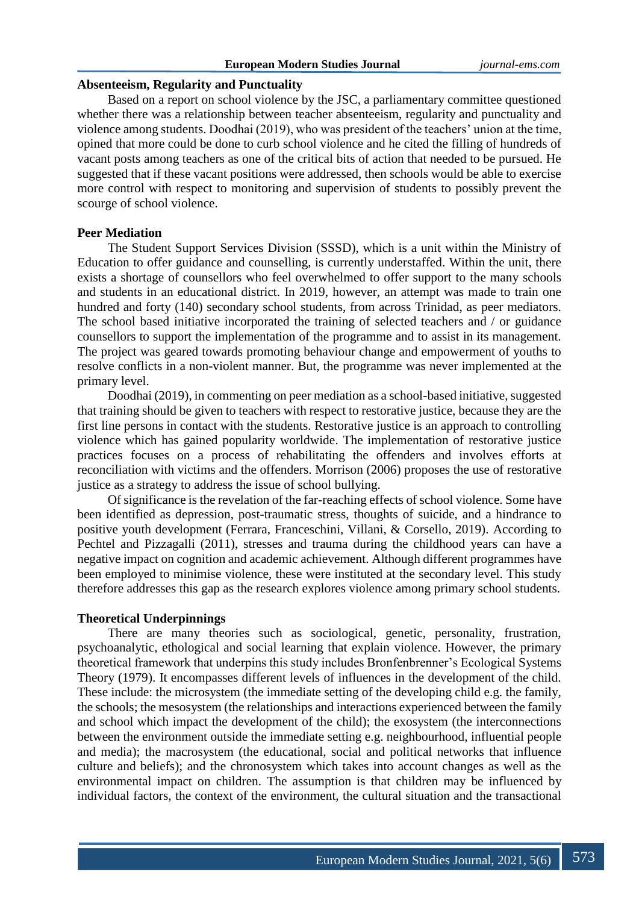# **European Modern Studies Journal** *journal-ems.com*

#### **Absenteeism, Regularity and Punctuality**

Based on a report on school violence by the JSC, a parliamentary committee questioned whether there was a relationship between teacher absenteeism, regularity and punctuality and violence among students. Doodhai (2019), who was president of the teachers' union at the time, opined that more could be done to curb school violence and he cited the filling of hundreds of vacant posts among teachers as one of the critical bits of action that needed to be pursued. He suggested that if these vacant positions were addressed, then schools would be able to exercise more control with respect to monitoring and supervision of students to possibly prevent the scourge of school violence.

### **Peer Mediation**

The Student Support Services Division (SSSD), which is a unit within the Ministry of Education to offer guidance and counselling, is currently understaffed. Within the unit, there exists a shortage of counsellors who feel overwhelmed to offer support to the many schools and students in an educational district. In 2019, however, an attempt was made to train one hundred and forty (140) secondary school students, from across Trinidad, as peer mediators. The school based initiative incorporated the training of selected teachers and / or guidance counsellors to support the implementation of the programme and to assist in its management. The project was geared towards promoting behaviour change and empowerment of youths to resolve conflicts in a non-violent manner. But, the programme was never implemented at the primary level.

Doodhai (2019), in commenting on peer mediation as a school-based initiative, suggested that training should be given to teachers with respect to restorative justice, because they are the first line persons in contact with the students. Restorative justice is an approach to controlling violence which has gained popularity worldwide. The implementation of restorative justice practices focuses on a process of rehabilitating the offenders and involves efforts at reconciliation with victims and the offenders. Morrison (2006) proposes the use of restorative justice as a strategy to address the issue of school bullying.

Of significance is the revelation of the far-reaching effects of school violence. Some have been identified as depression, post-traumatic stress, thoughts of suicide, and a hindrance to positive youth development (Ferrara, Franceschini, Villani, & Corsello, 2019). According to Pechtel and Pizzagalli (2011), stresses and trauma during the childhood years can have a negative impact on cognition and academic achievement. Although different programmes have been employed to minimise violence, these were instituted at the secondary level. This study therefore addresses this gap as the research explores violence among primary school students.

#### **Theoretical Underpinnings**

There are many theories such as sociological, genetic, personality, frustration, psychoanalytic, ethological and social learning that explain violence. However, the primary theoretical framework that underpins this study includes Bronfenbrenner's Ecological Systems Theory (1979). It encompasses different levels of influences in the development of the child. These include: the microsystem (the immediate setting of the developing child e.g. the family, the schools; the mesosystem (the relationships and interactions experienced between the family and school which impact the development of the child); the exosystem (the interconnections between the environment outside the immediate setting e.g. neighbourhood, influential people and media); the macrosystem (the educational, social and political networks that influence culture and beliefs); and the chronosystem which takes into account changes as well as the environmental impact on children. The assumption is that children may be influenced by individual factors, the context of the environment, the cultural situation and the transactional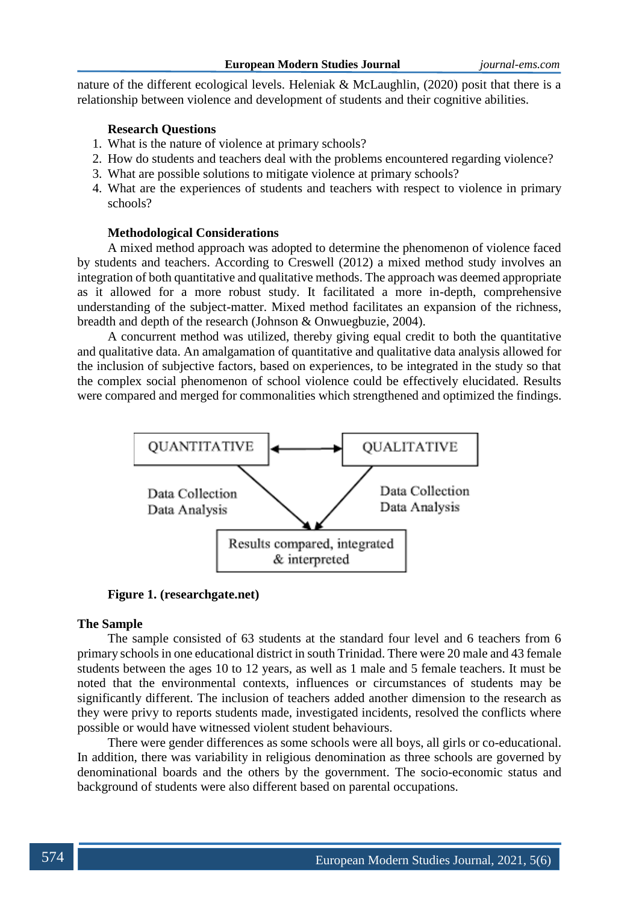nature of the different ecological levels. Heleniak & McLaughlin, (2020) posit that there is a relationship between violence and development of students and their cognitive abilities.

# **Research Questions**

- 1. What is the nature of violence at primary schools?
- 2. How do students and teachers deal with the problems encountered regarding violence?
- 3. What are possible solutions to mitigate violence at primary schools?
- 4. What are the experiences of students and teachers with respect to violence in primary schools?

### **Methodological Considerations**

A mixed method approach was adopted to determine the phenomenon of violence faced by students and teachers. According to Creswell (2012) a mixed method study involves an integration of both quantitative and qualitative methods. The approach was deemed appropriate as it allowed for a more robust study. It facilitated a more in-depth, comprehensive understanding of the subject-matter. Mixed method facilitates an expansion of the richness, breadth and depth of the research (Johnson & Onwuegbuzie, 2004).

A concurrent method was utilized, thereby giving equal credit to both the quantitative and qualitative data. An amalgamation of quantitative and qualitative data analysis allowed for the inclusion of subjective factors, based on experiences, to be integrated in the study so that the complex social phenomenon of school violence could be effectively elucidated. Results were compared and merged for commonalities which strengthened and optimized the findings.



**Figure 1. (researchgate.net)**

#### **The Sample**

The sample consisted of 63 students at the standard four level and 6 teachers from 6 primary schools in one educational district in south Trinidad. There were 20 male and 43 female students between the ages 10 to 12 years, as well as 1 male and 5 female teachers. It must be noted that the environmental contexts, influences or circumstances of students may be significantly different. The inclusion of teachers added another dimension to the research as they were privy to reports students made, investigated incidents, resolved the conflicts where possible or would have witnessed violent student behaviours.

There were gender differences as some schools were all boys, all girls or co-educational. In addition, there was variability in religious denomination as three schools are governed by denominational boards and the others by the government. The socio-economic status and background of students were also different based on parental occupations.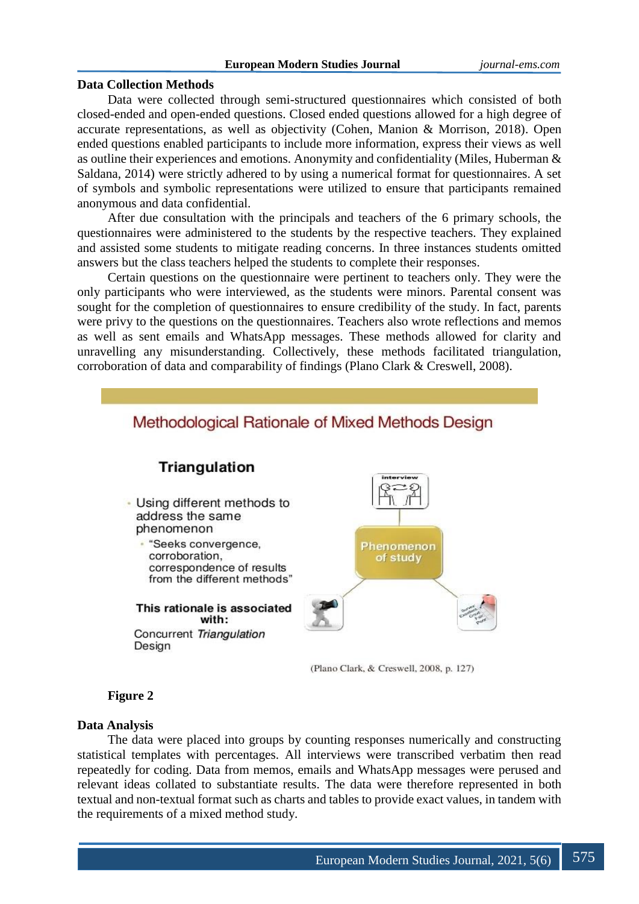### **European Modern Studies Journal** *journal-ems.com*

# **Data Collection Methods**

Data were collected through semi-structured questionnaires which consisted of both closed-ended and open-ended questions. Closed ended questions allowed for a high degree of accurate representations, as well as objectivity (Cohen, Manion & Morrison, 2018). Open ended questions enabled participants to include more information, express their views as well as outline their experiences and emotions. Anonymity and confidentiality (Miles, Huberman & Saldana, 2014) were strictly adhered to by using a numerical format for questionnaires. A set of symbols and symbolic representations were utilized to ensure that participants remained anonymous and data confidential.

After due consultation with the principals and teachers of the 6 primary schools, the questionnaires were administered to the students by the respective teachers. They explained and assisted some students to mitigate reading concerns. In three instances students omitted answers but the class teachers helped the students to complete their responses.

Certain questions on the questionnaire were pertinent to teachers only. They were the only participants who were interviewed, as the students were minors. Parental consent was sought for the completion of questionnaires to ensure credibility of the study. In fact, parents were privy to the questions on the questionnaires. Teachers also wrote reflections and memos as well as sent emails and WhatsApp messages. These methods allowed for clarity and unravelling any misunderstanding. Collectively, these methods facilitated triangulation, corroboration of data and comparability of findings (Plano Clark & Creswell, 2008).



# **Figure 2**

# **Data Analysis**

The data were placed into groups by counting responses numerically and constructing statistical templates with percentages. All interviews were transcribed verbatim then read repeatedly for coding. Data from memos, emails and WhatsApp messages were perused and relevant ideas collated to substantiate results. The data were therefore represented in both textual and non-textual format such as charts and tables to provide exact values, in tandem with the requirements of a mixed method study.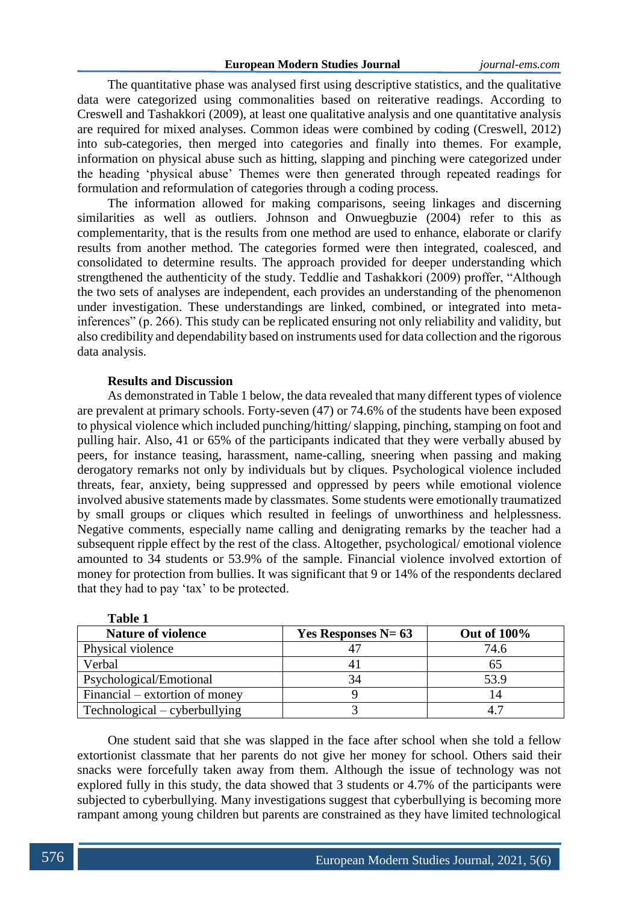The quantitative phase was analysed first using descriptive statistics, and the qualitative data were categorized using commonalities based on reiterative readings. According to Creswell and Tashakkori (2009), at least one qualitative analysis and one quantitative analysis are required for mixed analyses. Common ideas were combined by coding (Creswell, 2012) into sub-categories, then merged into categories and finally into themes. For example, information on physical abuse such as hitting, slapping and pinching were categorized under the heading 'physical abuse' Themes were then generated through repeated readings for formulation and reformulation of categories through a coding process.

The information allowed for making comparisons, seeing linkages and discerning similarities as well as outliers. Johnson and Onwuegbuzie (2004) refer to this as complementarity, that is the results from one method are used to enhance, elaborate or clarify results from another method. The categories formed were then integrated, coalesced, and consolidated to determine results. The approach provided for deeper understanding which strengthened the authenticity of the study. Teddlie and Tashakkori (2009) proffer, "Although the two sets of analyses are independent, each provides an understanding of the phenomenon under investigation. These understandings are linked, combined, or integrated into metainferences" (p. 266). This study can be replicated ensuring not only reliability and validity, but also credibility and dependability based on instruments used for data collection and the rigorous data analysis.

# **Results and Discussion**

**Table 1**

As demonstrated in Table 1 below, the data revealed that many different types of violence are prevalent at primary schools. Forty-seven (47) or 74.6% of the students have been exposed to physical violence which included punching/hitting/ slapping, pinching, stamping on foot and pulling hair. Also, 41 or 65% of the participants indicated that they were verbally abused by peers, for instance teasing, harassment, name-calling, sneering when passing and making derogatory remarks not only by individuals but by cliques. Psychological violence included threats, fear, anxiety, being suppressed and oppressed by peers while emotional violence involved abusive statements made by classmates. Some students were emotionally traumatized by small groups or cliques which resulted in feelings of unworthiness and helplessness. Negative comments, especially name calling and denigrating remarks by the teacher had a subsequent ripple effect by the rest of the class. Altogether, psychological/ emotional violence amounted to 34 students or 53.9% of the sample. Financial violence involved extortion of money for protection from bullies. It was significant that 9 or 14% of the respondents declared that they had to pay 'tax' to be protected.

| таше т                         |                      |                    |
|--------------------------------|----------------------|--------------------|
| <b>Nature of violence</b>      | Yes Responses $N=63$ | <b>Out of 100%</b> |
| Physical violence              |                      | 74.6               |
| Verbal                         |                      |                    |
| Psychological/Emotional        |                      | 53.9               |
| Financial – extortion of money |                      |                    |
| Technological – cyberbullying  |                      |                    |

One student said that she was slapped in the face after school when she told a fellow extortionist classmate that her parents do not give her money for school. Others said their snacks were forcefully taken away from them. Although the issue of technology was not explored fully in this study, the data showed that 3 students or 4.7% of the participants were subjected to cyberbullying. Many investigations suggest that cyberbullying is becoming more rampant among young children but parents are constrained as they have limited technological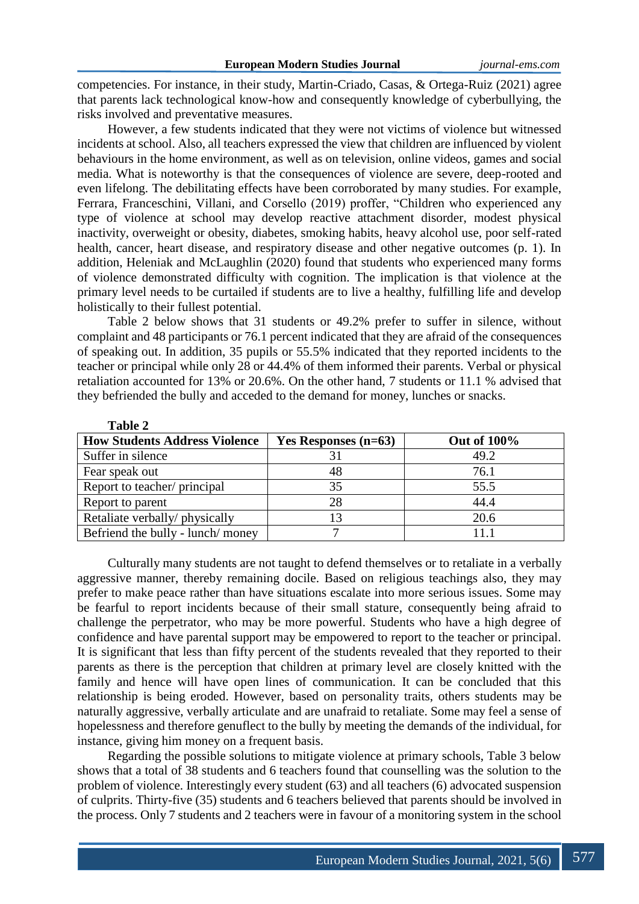competencies. For instance, in their study, Martin-Criado, Casas, & Ortega-Ruiz (2021) agree that parents lack technological know-how and consequently knowledge of cyberbullying, the risks involved and preventative measures.

However, a few students indicated that they were not victims of violence but witnessed incidents at school. Also, all teachers expressed the view that children are influenced by violent behaviours in the home environment, as well as on television, online videos, games and social media. What is noteworthy is that the consequences of violence are severe, deep-rooted and even lifelong. The debilitating effects have been corroborated by many studies. For example, Ferrara, Franceschini, Villani, and Corsello (2019) proffer, "Children who experienced any type of violence at school may develop reactive attachment disorder, modest physical inactivity, overweight or obesity, diabetes, smoking habits, heavy alcohol use, poor self-rated health, cancer, heart disease, and respiratory disease and other negative outcomes (p. 1). In addition, Heleniak and McLaughlin (2020) found that students who experienced many forms of violence demonstrated difficulty with cognition. The implication is that violence at the primary level needs to be curtailed if students are to live a healthy, fulfilling life and develop holistically to their fullest potential.

Table 2 below shows that 31 students or 49.2% prefer to suffer in silence, without complaint and 48 participants or 76.1 percent indicated that they are afraid of the consequences of speaking out. In addition, 35 pupils or 55.5% indicated that they reported incidents to the teacher or principal while only 28 or 44.4% of them informed their parents. Verbal or physical retaliation accounted for 13% or 20.6%. On the other hand, 7 students or 11.1 % advised that they befriended the bully and acceded to the demand for money, lunches or snacks.

| ***** *                              |                        |                    |
|--------------------------------------|------------------------|--------------------|
| <b>How Students Address Violence</b> | Yes Responses $(n=63)$ | <b>Out of 100%</b> |
| Suffer in silence                    |                        | 49.2               |
| Fear speak out                       | 48                     | 76.1               |
| Report to teacher/principal          | 35                     | 55.5               |
| Report to parent                     | 28                     | 44.4               |
| Retaliate verbally/physically        | 13                     | 20.6               |
| Befriend the bully - lunch/money     |                        | 111                |

**Table 2**

Culturally many students are not taught to defend themselves or to retaliate in a verbally aggressive manner, thereby remaining docile. Based on religious teachings also, they may prefer to make peace rather than have situations escalate into more serious issues. Some may be fearful to report incidents because of their small stature, consequently being afraid to challenge the perpetrator, who may be more powerful. Students who have a high degree of confidence and have parental support may be empowered to report to the teacher or principal. It is significant that less than fifty percent of the students revealed that they reported to their parents as there is the perception that children at primary level are closely knitted with the family and hence will have open lines of communication. It can be concluded that this relationship is being eroded. However, based on personality traits, others students may be naturally aggressive, verbally articulate and are unafraid to retaliate. Some may feel a sense of hopelessness and therefore genuflect to the bully by meeting the demands of the individual, for instance, giving him money on a frequent basis.

Regarding the possible solutions to mitigate violence at primary schools, Table 3 below shows that a total of 38 students and 6 teachers found that counselling was the solution to the problem of violence. Interestingly every student (63) and all teachers (6) advocated suspension of culprits. Thirty-five (35) students and 6 teachers believed that parents should be involved in the process. Only 7 students and 2 teachers were in favour of a monitoring system in the school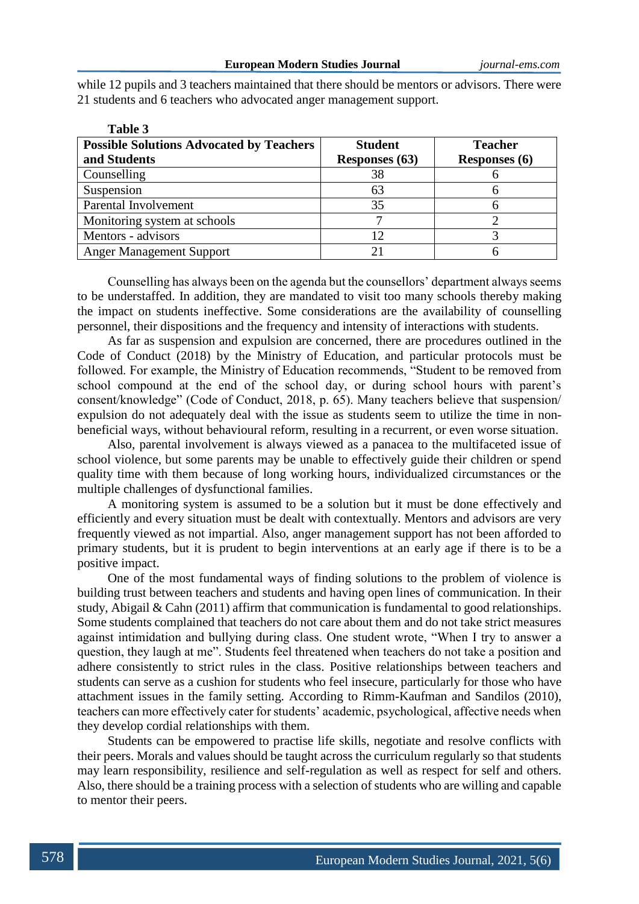while 12 pupils and 3 teachers maintained that there should be mentors or advisors. There were 21 students and 6 teachers who advocated anger management support.

**Table 3** 

| Table 3                                         |                |                      |
|-------------------------------------------------|----------------|----------------------|
| <b>Possible Solutions Advocated by Teachers</b> | <b>Student</b> | <b>Teacher</b>       |
| and Students                                    | Responses (63) | <b>Responses</b> (6) |
| Counselling                                     | 38             |                      |
| Suspension                                      | 63             |                      |
| Parental Involvement                            | 35             |                      |
| Monitoring system at schools                    |                |                      |
| Mentors - advisors                              | 12             |                      |
| <b>Anger Management Support</b>                 |                |                      |

Counselling has always been on the agenda but the counsellors' department always seems to be understaffed. In addition, they are mandated to visit too many schools thereby making the impact on students ineffective. Some considerations are the availability of counselling personnel, their dispositions and the frequency and intensity of interactions with students.

As far as suspension and expulsion are concerned, there are procedures outlined in the Code of Conduct (2018) by the Ministry of Education, and particular protocols must be followed. For example, the Ministry of Education recommends, "Student to be removed from school compound at the end of the school day, or during school hours with parent's consent/knowledge" (Code of Conduct, 2018, p. 65). Many teachers believe that suspension/ expulsion do not adequately deal with the issue as students seem to utilize the time in nonbeneficial ways, without behavioural reform, resulting in a recurrent, or even worse situation.

Also, parental involvement is always viewed as a panacea to the multifaceted issue of school violence, but some parents may be unable to effectively guide their children or spend quality time with them because of long working hours, individualized circumstances or the multiple challenges of dysfunctional families.

A monitoring system is assumed to be a solution but it must be done effectively and efficiently and every situation must be dealt with contextually. Mentors and advisors are very frequently viewed as not impartial. Also, anger management support has not been afforded to primary students, but it is prudent to begin interventions at an early age if there is to be a positive impact.

One of the most fundamental ways of finding solutions to the problem of violence is building trust between teachers and students and having open lines of communication. In their study, Abigail & Cahn (2011) affirm that communication is fundamental to good relationships. Some students complained that teachers do not care about them and do not take strict measures against intimidation and bullying during class. One student wrote, "When I try to answer a question, they laugh at me". Students feel threatened when teachers do not take a position and adhere consistently to strict rules in the class. Positive relationships between teachers and students can serve as a cushion for students who feel insecure, particularly for those who have attachment issues in the family setting. According to Rimm-Kaufman and Sandilos (2010), teachers can more effectively cater for students' academic, psychological, affective needs when they develop cordial relationships with them.

Students can be empowered to practise life skills, negotiate and resolve conflicts with their peers. Morals and values should be taught across the curriculum regularly so that students may learn responsibility, resilience and self-regulation as well as respect for self and others. Also, there should be a training process with a selection of students who are willing and capable to mentor their peers.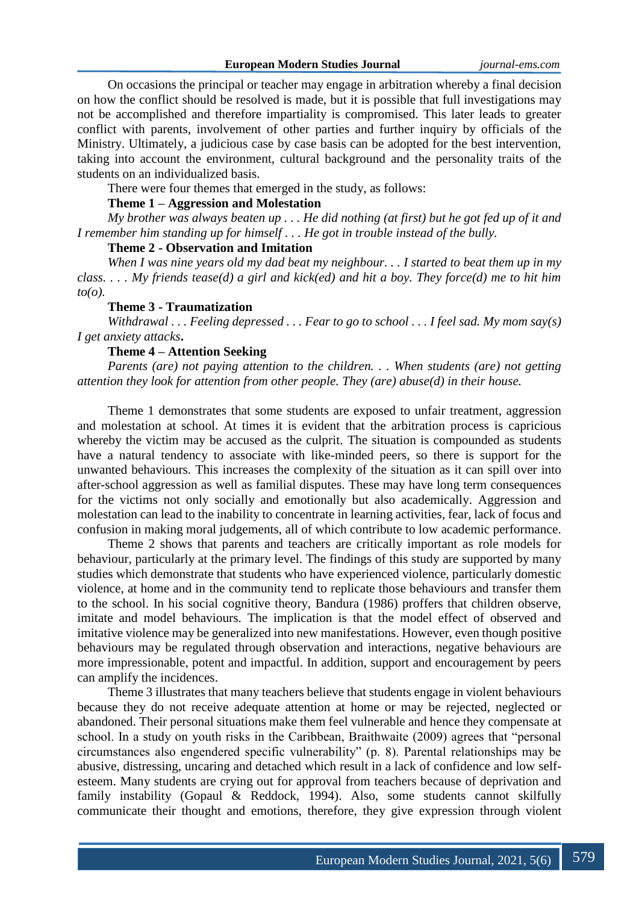On occasions the principal or teacher may engage in arbitration whereby a final decision on how the conflict should be resolved is made, but it is possible that full investigations may not be accomplished and therefore impartiality is compromised. This later leads to greater conflict with parents, involvement of other parties and further inquiry by officials of the Ministry. Ultimately, a judicious case by case basis can be adopted for the best intervention, taking into account the environment, cultural background and the personality traits of the students on an individualized basis.

There were four themes that emerged in the study, as follows:

### **Theme 1 – Aggression and Molestation**

*My brother was always beaten up . . . He did nothing (at first) but he got fed up of it and I remember him standing up for himself . . . He got in trouble instead of the bully.*

# **Theme 2 - Observation and Imitation**

*When I was nine years old my dad beat my neighbour. . . I started to beat them up in my class. . . . My friends tease(d) a girl and kick(ed) and hit a boy. They force(d) me to hit him to(o).*

# **Theme 3 - Traumatization**

*Withdrawal . . . Feeling depressed . . . Fear to go to school . . . I feel sad. My mom say(s) I get anxiety attacks***.**

# **Theme 4 – Attention Seeking**

*Parents (are) not paying attention to the children. . . When students (are) not getting attention they look for attention from other people. They (are) abuse(d) in their house.*

Theme 1 demonstrates that some students are exposed to unfair treatment, aggression and molestation at school. At times it is evident that the arbitration process is capricious whereby the victim may be accused as the culprit. The situation is compounded as students have a natural tendency to associate with like-minded peers, so there is support for the unwanted behaviours. This increases the complexity of the situation as it can spill over into after-school aggression as well as familial disputes. These may have long term consequences for the victims not only socially and emotionally but also academically. Aggression and molestation can lead to the inability to concentrate in learning activities, fear, lack of focus and confusion in making moral judgements, all of which contribute to low academic performance.

Theme 2 shows that parents and teachers are critically important as role models for behaviour, particularly at the primary level. The findings of this study are supported by many studies which demonstrate that students who have experienced violence, particularly domestic violence, at home and in the community tend to replicate those behaviours and transfer them to the school. In his social cognitive theory, Bandura (1986) proffers that children observe, imitate and model behaviours. The implication is that the model effect of observed and imitative violence may be generalized into new manifestations. However, even though positive behaviours may be regulated through observation and interactions, negative behaviours are more impressionable, potent and impactful. In addition, support and encouragement by peers can amplify the incidences.

Theme 3 illustrates that many teachers believe that students engage in violent behaviours because they do not receive adequate attention at home or may be rejected, neglected or abandoned. Their personal situations make them feel vulnerable and hence they compensate at school. In a study on youth risks in the Caribbean, Braithwaite (2009) agrees that "personal circumstances also engendered specific vulnerability" (p. 8). Parental relationships may be abusive, distressing, uncaring and detached which result in a lack of confidence and low selfesteem. Many students are crying out for approval from teachers because of deprivation and family instability (Gopaul & Reddock, 1994). Also, some students cannot skilfully communicate their thought and emotions, therefore, they give expression through violent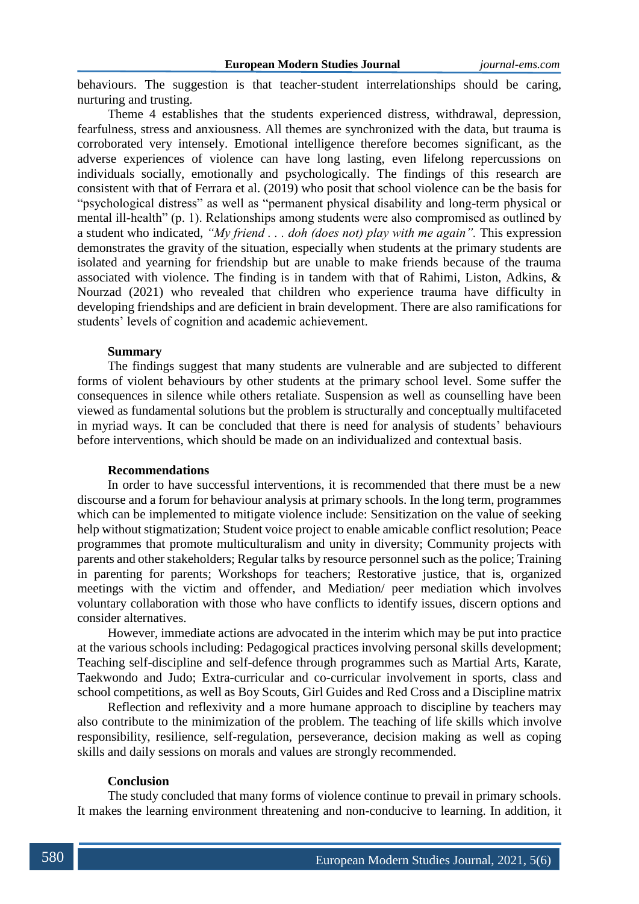behaviours. The suggestion is that teacher-student interrelationships should be caring, nurturing and trusting.

Theme 4 establishes that the students experienced distress, withdrawal, depression, fearfulness, stress and anxiousness. All themes are synchronized with the data, but trauma is corroborated very intensely. Emotional intelligence therefore becomes significant, as the adverse experiences of violence can have long lasting, even lifelong repercussions on individuals socially, emotionally and psychologically. The findings of this research are consistent with that of Ferrara et al. (2019) who posit that school violence can be the basis for "psychological distress" as well as "permanent physical disability and long-term physical or mental ill-health" (p. 1). Relationships among students were also compromised as outlined by a student who indicated, *"My friend . . . doh (does not) play with me again".* This expression demonstrates the gravity of the situation, especially when students at the primary students are isolated and yearning for friendship but are unable to make friends because of the trauma associated with violence. The finding is in tandem with that of Rahimi, Liston, Adkins, & Nourzad (2021) who revealed that children who experience trauma have difficulty in developing friendships and are deficient in brain development. There are also ramifications for students' levels of cognition and academic achievement.

# **Summary**

The findings suggest that many students are vulnerable and are subjected to different forms of violent behaviours by other students at the primary school level. Some suffer the consequences in silence while others retaliate. Suspension as well as counselling have been viewed as fundamental solutions but the problem is structurally and conceptually multifaceted in myriad ways. It can be concluded that there is need for analysis of students' behaviours before interventions, which should be made on an individualized and contextual basis.

# **Recommendations**

In order to have successful interventions, it is recommended that there must be a new discourse and a forum for behaviour analysis at primary schools. In the long term, programmes which can be implemented to mitigate violence include: Sensitization on the value of seeking help without stigmatization; Student voice project to enable amicable conflict resolution; Peace programmes that promote multiculturalism and unity in diversity; Community projects with parents and other stakeholders; Regular talks by resource personnel such as the police; Training in parenting for parents; Workshops for teachers; Restorative justice, that is, organized meetings with the victim and offender, and Mediation/ peer mediation which involves voluntary collaboration with those who have conflicts to identify issues, discern options and consider alternatives.

However, immediate actions are advocated in the interim which may be put into practice at the various schools including: Pedagogical practices involving personal skills development; Teaching self-discipline and self-defence through programmes such as Martial Arts, Karate, Taekwondo and Judo; Extra-curricular and co-curricular involvement in sports, class and school competitions, as well as Boy Scouts, Girl Guides and Red Cross and a Discipline matrix

Reflection and reflexivity and a more humane approach to discipline by teachers may also contribute to the minimization of the problem. The teaching of life skills which involve responsibility, resilience, self-regulation, perseverance, decision making as well as coping skills and daily sessions on morals and values are strongly recommended.

#### **Conclusion**

The study concluded that many forms of violence continue to prevail in primary schools. It makes the learning environment threatening and non-conducive to learning. In addition, it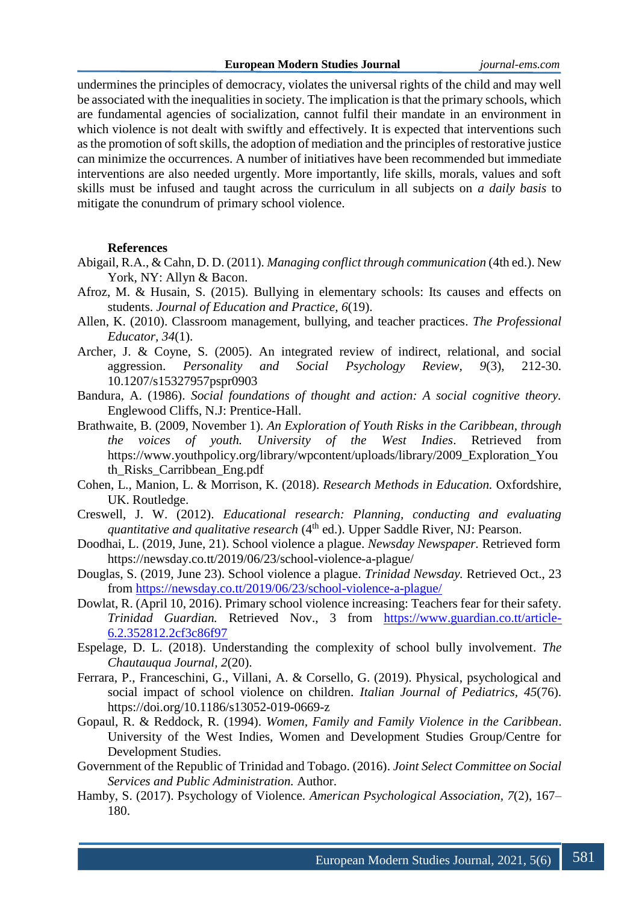undermines the principles of democracy, violates the universal rights of the child and may well be associated with the inequalities in society. The implication is that the primary schools, which are fundamental agencies of socialization, cannot fulfil their mandate in an environment in which violence is not dealt with swiftly and effectively. It is expected that interventions such as the promotion of soft skills, the adoption of mediation and the principles of restorative justice can minimize the occurrences. A number of initiatives have been recommended but immediate interventions are also needed urgently. More importantly, life skills, morals, values and soft skills must be infused and taught across the curriculum in all subjects on *a daily basis* to mitigate the conundrum of primary school violence.

# **References**

- Abigail, R.A., & Cahn, D. D. (2011). *Managing conflict through communication* (4th ed.). New York, NY: Allyn & Bacon.
- Afroz, M. & Husain, S. (2015). Bullying in elementary schools: Its causes and effects on students. *Journal of Education and Practice*, *6*(19).
- Allen, K. (2010). Classroom management, bullying, and teacher practices. *The Professional Educator, 34*(1).
- Archer, J. & Coyne, S. (2005). An integrated review of indirect, relational, and social aggression. *Personality and Social Psychology Review, 9*(3), 212-30. 10.1207/s15327957pspr0903
- Bandura, A. (1986). *Social foundations of thought and action: A social cognitive theory.* Englewood Cliffs, N.J: Prentice-Hall.
- Brathwaite, B. (2009, November 1). *An Exploration of Youth Risks in the Caribbean, through the voices of youth. University of the West Indies*. Retrieved from https://www.youthpolicy.org/library/wpcontent/uploads/library/2009\_Exploration\_You th\_Risks\_Carribbean\_Eng.pdf
- Cohen, L., Manion, L. & Morrison, K. (2018). *Research Methods in Education.* Oxfordshire, UK. Routledge.
- Creswell, J. W. (2012). *Educational research: Planning, conducting and evaluating quantitative and qualitative research* (4<sup>th</sup> ed.). Upper Saddle River, NJ: Pearson.
- Doodhai, L. (2019, June, 21). School violence a plague. *Newsday Newspaper.* Retrieved form https://newsday.co.tt/2019/06/23/school-violence-a-plague/
- Douglas, S. (2019, June 23). School violence a plague. *Trinidad Newsday.* Retrieved Oct., 23 from<https://newsday.co.tt/2019/06/23/school-violence-a-plague/>
- Dowlat, R. (April 10, 2016). Primary school violence increasing: Teachers fear for their safety. *Trinidad Guardian.* Retrieved Nov., 3 from [https://www.guardian.co.tt/article-](https://www.guardian.co.tt/article-6.2.352812.2cf3c86f97)[6.2.352812.2cf3c86f97](https://www.guardian.co.tt/article-6.2.352812.2cf3c86f97)
- Espelage*,* D. L. (2018). Understanding the complexity of school bully involvement. *The Chautauqua Journal, 2*(20).
- Ferrara, P., Franceschini, G., Villani, A. & Corsello, G. (2019). Physical, psychological and social impact of school violence on children. *Italian Journal of Pediatrics, 45*(76). https://doi.org/10.1186/s13052-019-0669-z
- Gopaul, R. & Reddock, R. (1994). *Women, Family and Family Violence in the Caribbean*. University of the West Indies, Women and Development Studies Group/Centre for Development Studies.
- Government of the Republic of Trinidad and Tobago. (2016). *Joint Select Committee on Social Services and Public Administration.* Author.
- Hamby, S. (2017). Psychology of Violence. *American Psychological Association, 7*(2), 167– 180.